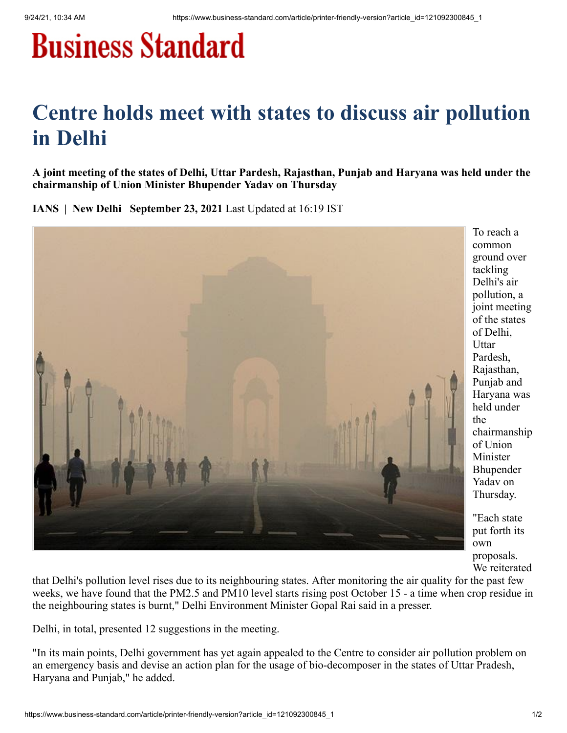## **Business Standard**

## **Centre holds meet with states to discuss air pollution in Delhi**

**A joint meeting of the states of Delhi, Uttar Pardesh, Rajasthan, Punjab and Haryana was held under the chairmanship of Union Minister Bhupender Yadav on Thursday**

**IANS | New Delhi September 23, 2021** Last Updated at 16:19 IST



To reach a common ground over tackling Delhi's air pollution, a joint meeting of the states of Delhi, Uttar Pardesh, Rajasthan, Punjab and Haryana was held under the chairmanship of Union Minister Bhupender Yadav on Thursday.

"Each state put forth its own proposals. We reiterated

that Delhi's pollution level rises due to its neighbouring states. After monitoring the air quality for the past few weeks, we have found that the PM2.5 and PM10 level starts rising post October 15 - a time when crop residue in the neighbouring states is burnt," Delhi Environment Minister Gopal Rai said in a presser.

Delhi, in total, presented 12 suggestions in the meeting.

"In its main points, Delhi government has yet again appealed to the Centre to consider air pollution problem on an emergency basis and devise an action plan for the usage of bio-decomposer in the states of Uttar Pradesh, Haryana and Punjab," he added.